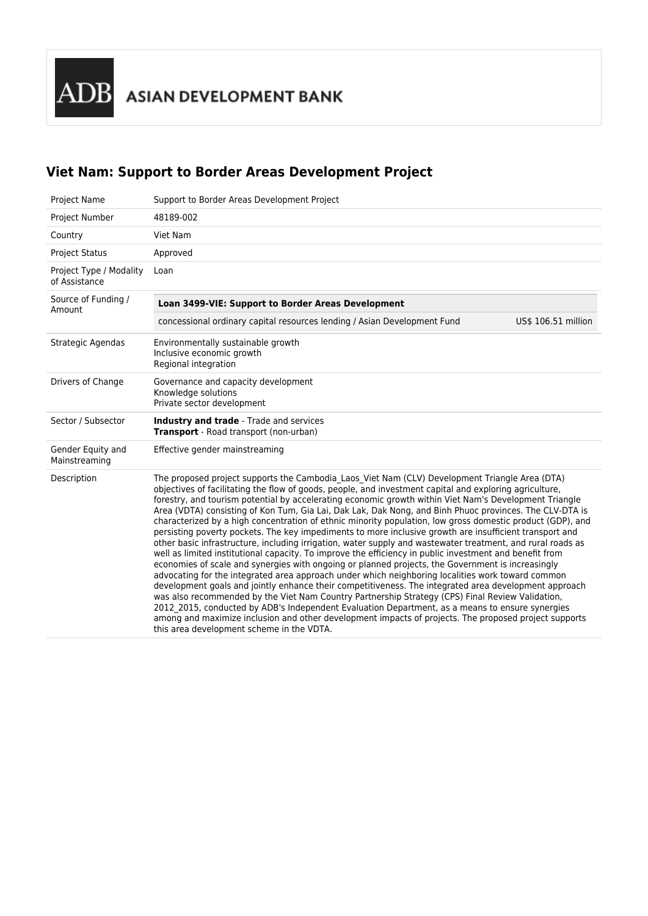ADB ASIAN DEVELOPMENT BANK

# **Viet Nam: Support to Border Areas Development Project**

| <b>Project Name</b>                      | Support to Border Areas Development Project                                                                                                                                                                                                                                                                                                                                                                                                                                                                                                                                                                                                                                                                                                                                                                                                                                                                                                                                                                                                                                                                                                                                                                                                                                                                                                                                                                                                                                                                                                                       |  |  |
|------------------------------------------|-------------------------------------------------------------------------------------------------------------------------------------------------------------------------------------------------------------------------------------------------------------------------------------------------------------------------------------------------------------------------------------------------------------------------------------------------------------------------------------------------------------------------------------------------------------------------------------------------------------------------------------------------------------------------------------------------------------------------------------------------------------------------------------------------------------------------------------------------------------------------------------------------------------------------------------------------------------------------------------------------------------------------------------------------------------------------------------------------------------------------------------------------------------------------------------------------------------------------------------------------------------------------------------------------------------------------------------------------------------------------------------------------------------------------------------------------------------------------------------------------------------------------------------------------------------------|--|--|
| Project Number                           | 48189-002                                                                                                                                                                                                                                                                                                                                                                                                                                                                                                                                                                                                                                                                                                                                                                                                                                                                                                                                                                                                                                                                                                                                                                                                                                                                                                                                                                                                                                                                                                                                                         |  |  |
| Country                                  | Viet Nam                                                                                                                                                                                                                                                                                                                                                                                                                                                                                                                                                                                                                                                                                                                                                                                                                                                                                                                                                                                                                                                                                                                                                                                                                                                                                                                                                                                                                                                                                                                                                          |  |  |
| <b>Project Status</b>                    | Approved                                                                                                                                                                                                                                                                                                                                                                                                                                                                                                                                                                                                                                                                                                                                                                                                                                                                                                                                                                                                                                                                                                                                                                                                                                                                                                                                                                                                                                                                                                                                                          |  |  |
| Project Type / Modality<br>of Assistance | Loan                                                                                                                                                                                                                                                                                                                                                                                                                                                                                                                                                                                                                                                                                                                                                                                                                                                                                                                                                                                                                                                                                                                                                                                                                                                                                                                                                                                                                                                                                                                                                              |  |  |
| Source of Funding /<br>Amount            | Loan 3499-VIE: Support to Border Areas Development                                                                                                                                                                                                                                                                                                                                                                                                                                                                                                                                                                                                                                                                                                                                                                                                                                                                                                                                                                                                                                                                                                                                                                                                                                                                                                                                                                                                                                                                                                                |  |  |
|                                          | concessional ordinary capital resources lending / Asian Development Fund<br>US\$ 106.51 million                                                                                                                                                                                                                                                                                                                                                                                                                                                                                                                                                                                                                                                                                                                                                                                                                                                                                                                                                                                                                                                                                                                                                                                                                                                                                                                                                                                                                                                                   |  |  |
| Strategic Agendas                        | Environmentally sustainable growth<br>Inclusive economic growth<br>Regional integration                                                                                                                                                                                                                                                                                                                                                                                                                                                                                                                                                                                                                                                                                                                                                                                                                                                                                                                                                                                                                                                                                                                                                                                                                                                                                                                                                                                                                                                                           |  |  |
| Drivers of Change                        | Governance and capacity development<br>Knowledge solutions<br>Private sector development                                                                                                                                                                                                                                                                                                                                                                                                                                                                                                                                                                                                                                                                                                                                                                                                                                                                                                                                                                                                                                                                                                                                                                                                                                                                                                                                                                                                                                                                          |  |  |
| Sector / Subsector                       | Industry and trade - Trade and services<br>Transport - Road transport (non-urban)                                                                                                                                                                                                                                                                                                                                                                                                                                                                                                                                                                                                                                                                                                                                                                                                                                                                                                                                                                                                                                                                                                                                                                                                                                                                                                                                                                                                                                                                                 |  |  |
| Gender Equity and<br>Mainstreaming       | Effective gender mainstreaming                                                                                                                                                                                                                                                                                                                                                                                                                                                                                                                                                                                                                                                                                                                                                                                                                                                                                                                                                                                                                                                                                                                                                                                                                                                                                                                                                                                                                                                                                                                                    |  |  |
| Description                              | The proposed project supports the Cambodia_Laos_Viet Nam (CLV) Development Triangle Area (DTA)<br>objectives of facilitating the flow of goods, people, and investment capital and exploring agriculture,<br>forestry, and tourism potential by accelerating economic growth within Viet Nam's Development Triangle<br>Area (VDTA) consisting of Kon Tum, Gia Lai, Dak Lak, Dak Nong, and Binh Phuoc provinces. The CLV-DTA is<br>characterized by a high concentration of ethnic minority population, low gross domestic product (GDP), and<br>persisting poverty pockets. The key impediments to more inclusive growth are insufficient transport and<br>other basic infrastructure, including irrigation, water supply and wastewater treatment, and rural roads as<br>well as limited institutional capacity. To improve the efficiency in public investment and benefit from<br>economies of scale and synergies with ongoing or planned projects, the Government is increasingly<br>advocating for the integrated area approach under which neighboring localities work toward common<br>development goals and jointly enhance their competitiveness. The integrated area development approach<br>was also recommended by the Viet Nam Country Partnership Strategy (CPS) Final Review Validation,<br>2012 2015, conducted by ADB's Independent Evaluation Department, as a means to ensure synergies<br>among and maximize inclusion and other development impacts of projects. The proposed project supports<br>this area development scheme in the VDTA. |  |  |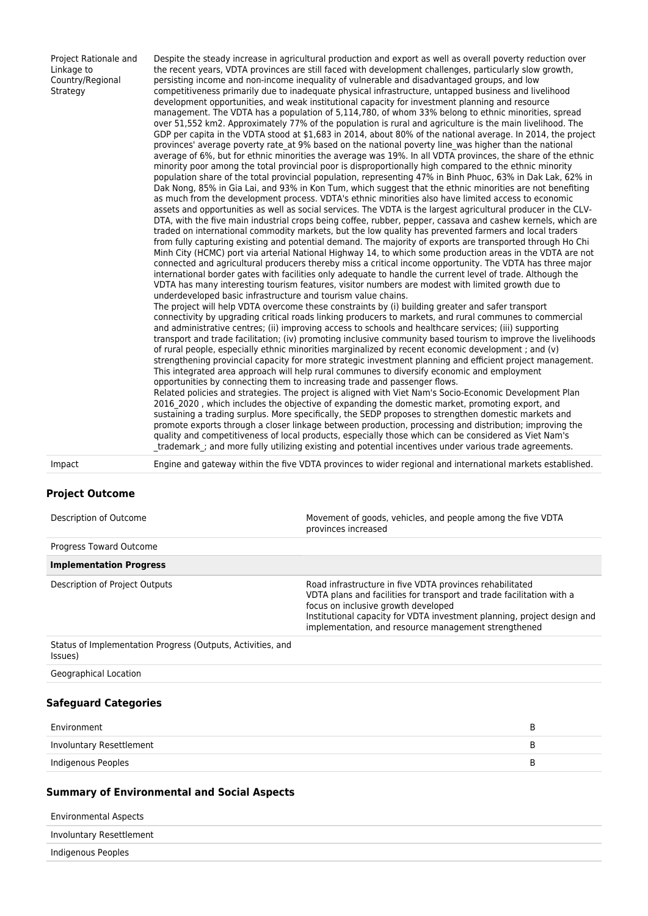Project Rationale and Linkage to Country/Regional **Strategy** 

Despite the steady increase in agricultural production and export as well as overall poverty reduction over the recent years, VDTA provinces are still faced with development challenges, particularly slow growth, persisting income and non-income inequality of vulnerable and disadvantaged groups, and low competitiveness primarily due to inadequate physical infrastructure, untapped business and livelihood development opportunities, and weak institutional capacity for investment planning and resource management. The VDTA has a population of 5,114,780, of whom 33% belong to ethnic minorities, spread over 51,552 km2. Approximately 77% of the population is rural and agriculture is the main livelihood. The GDP per capita in the VDTA stood at \$1,683 in 2014, about 80% of the national average. In 2014, the project provinces' average poverty rate\_at 9% based on the national poverty line\_was higher than the national average of 6%, but for ethnic minorities the average was 19%. In all VDTA provinces, the share of the ethnic minority poor among the total provincial poor is disproportionally high compared to the ethnic minority population share of the total provincial population, representing 47% in Binh Phuoc, 63% in Dak Lak, 62% in Dak Nong, 85% in Gia Lai, and 93% in Kon Tum, which suggest that the ethnic minorities are not benefiting as much from the development process. VDTA's ethnic minorities also have limited access to economic assets and opportunities as well as social services. The VDTA is the largest agricultural producer in the CLV-DTA, with the five main industrial crops being coffee, rubber, pepper, cassava and cashew kernels, which are traded on international commodity markets, but the low quality has prevented farmers and local traders from fully capturing existing and potential demand. The majority of exports are transported through Ho Chi Minh City (HCMC) port via arterial National Highway 14, to which some production areas in the VDTA are not connected and agricultural producers thereby miss a critical income opportunity. The VDTA has three major international border gates with facilities only adequate to handle the current level of trade. Although the VDTA has many interesting tourism features, visitor numbers are modest with limited growth due to underdeveloped basic infrastructure and tourism value chains.

The project will help VDTA overcome these constraints by (i) building greater and safer transport connectivity by upgrading critical roads linking producers to markets, and rural communes to commercial and administrative centres; (ii) improving access to schools and healthcare services; (iii) supporting transport and trade facilitation; (iv) promoting inclusive community based tourism to improve the livelihoods of rural people, especially ethnic minorities marginalized by recent economic development ; and (v) strengthening provincial capacity for more strategic investment planning and efficient project management. This integrated area approach will help rural communes to diversify economic and employment opportunities by connecting them to increasing trade and passenger flows.

Related policies and strategies. The project is aligned with Viet Nam's Socio-Economic Development Plan 2016\_2020 , which includes the objective of expanding the domestic market, promoting export, and sustaining a trading surplus. More specifically, the SEDP proposes to strengthen domestic markets and promote exports through a closer linkage between production, processing and distribution; improving the quality and competitiveness of local products, especially those which can be considered as Viet Nam's trademark ; and more fully utilizing existing and potential incentives under various trade agreements.

Impact Engine and gateway within the five VDTA provinces to wider regional and international markets established.

#### **Project Outcome**

| Description of Outcome                                                 | Movement of goods, vehicles, and people among the five VDTA<br>provinces increased                                                                                                                                                                                                                          |
|------------------------------------------------------------------------|-------------------------------------------------------------------------------------------------------------------------------------------------------------------------------------------------------------------------------------------------------------------------------------------------------------|
| <b>Progress Toward Outcome</b>                                         |                                                                                                                                                                                                                                                                                                             |
| <b>Implementation Progress</b>                                         |                                                                                                                                                                                                                                                                                                             |
| Description of Project Outputs                                         | Road infrastructure in five VDTA provinces rehabilitated<br>VDTA plans and facilities for transport and trade facilitation with a<br>focus on inclusive growth developed<br>Institutional capacity for VDTA investment planning, project design and<br>implementation, and resource management strengthened |
| Status of Implementation Progress (Outputs, Activities, and<br>(Issues |                                                                                                                                                                                                                                                                                                             |
| Geographical Location                                                  |                                                                                                                                                                                                                                                                                                             |

#### **Safeguard Categories**

| Environment              | к. |
|--------------------------|----|
| Involuntary Resettlement | к  |
| Indigenous Peoples       | B  |

#### **Summary of Environmental and Social Aspects**

| <b>Environmental Aspects</b> |  |
|------------------------------|--|
| Involuntary Resettlement     |  |
| Indigenous Peoples           |  |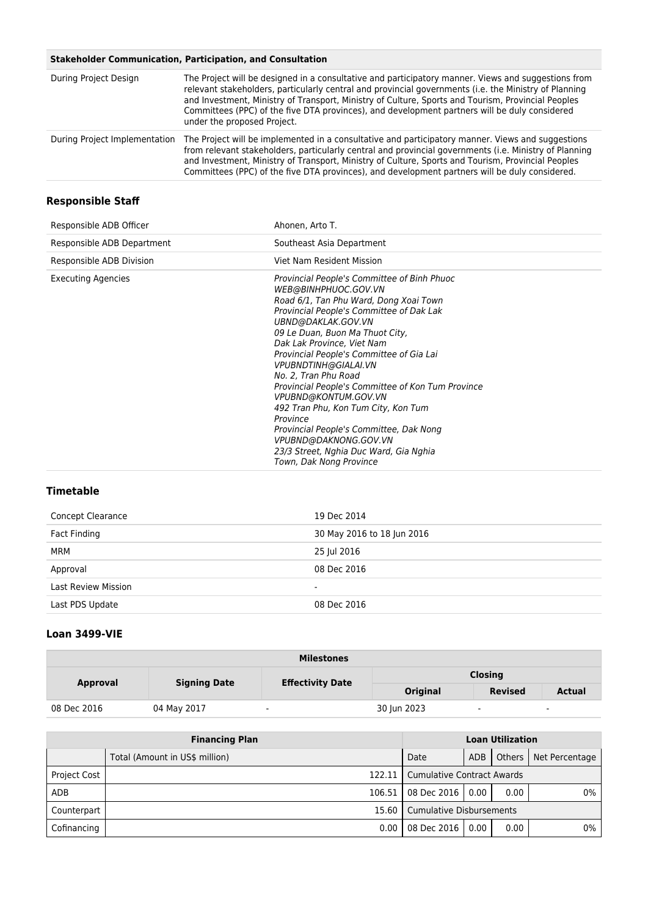### **Stakeholder Communication, Participation, and Consultation**

| During Project Design         | The Project will be designed in a consultative and participatory manner. Views and suggestions from<br>relevant stakeholders, particularly central and provincial governments (i.e. the Ministry of Planning<br>and Investment, Ministry of Transport, Ministry of Culture, Sports and Tourism, Provincial Peoples<br>Committees (PPC) of the five DTA provinces), and development partners will be duly considered<br>under the proposed Project. |
|-------------------------------|----------------------------------------------------------------------------------------------------------------------------------------------------------------------------------------------------------------------------------------------------------------------------------------------------------------------------------------------------------------------------------------------------------------------------------------------------|
| During Project Implementation | The Project will be implemented in a consultative and participatory manner. Views and suggestions<br>from relevant stakeholders, particularly central and provincial governments (i.e. Ministry of Planning<br>and Investment, Ministry of Transport, Ministry of Culture, Sports and Tourism, Provincial Peoples<br>Committees (PPC) of the five DTA provinces), and development partners will be duly considered.                                |

# **Responsible Staff**

| Responsible ADB Officer    | Ahonen, Arto T.                                                                                                                                                                                                                                                                                                                                                                                                                                                                                                                                                                                                       |
|----------------------------|-----------------------------------------------------------------------------------------------------------------------------------------------------------------------------------------------------------------------------------------------------------------------------------------------------------------------------------------------------------------------------------------------------------------------------------------------------------------------------------------------------------------------------------------------------------------------------------------------------------------------|
| Responsible ADB Department | Southeast Asia Department                                                                                                                                                                                                                                                                                                                                                                                                                                                                                                                                                                                             |
| Responsible ADB Division   | Viet Nam Resident Mission                                                                                                                                                                                                                                                                                                                                                                                                                                                                                                                                                                                             |
| Executing Agencies         | Provincial People's Committee of Binh Phuoc<br>WEB@BINHPHUOC.GOV.VN<br>Road 6/1, Tan Phu Ward, Dong Xoai Town<br>Provincial People's Committee of Dak Lak<br>UBND@DAKLAK.GOV.VN<br>09 Le Duan, Buon Ma Thuot City,<br>Dak Lak Province, Viet Nam<br>Provincial People's Committee of Gia Lai<br>VPUBNDTINH@GIALAI.VN<br>No. 2, Tran Phu Road<br>Provincial People's Committee of Kon Tum Province<br>VPUBND@KONTUM.GOV.VN<br>492 Tran Phu, Kon Tum City, Kon Tum<br>Province<br>Provincial People's Committee, Dak Nong<br>VPUBND@DAKNONG.GOV.VN<br>23/3 Street, Nghia Duc Ward, Gia Nghia<br>Town, Dak Nong Province |

# **Timetable**

| Concept Clearance          | 19 Dec 2014                |
|----------------------------|----------------------------|
| Fact Finding               | 30 May 2016 to 18 Jun 2016 |
| MRM                        | 25 Jul 2016                |
| Approval                   | 08 Dec 2016                |
| <b>Last Review Mission</b> | ۰                          |
| Last PDS Update            | 08 Dec 2016                |
|                            |                            |

# **Loan 3499-VIE**

| <b>Milestones</b> |                                 |                         |                |                |               |  |
|-------------------|---------------------------------|-------------------------|----------------|----------------|---------------|--|
|                   | <b>Signing Date</b><br>Approval | <b>Effectivity Date</b> | <b>Closing</b> |                |               |  |
|                   |                                 |                         | Original       | <b>Revised</b> | <b>Actual</b> |  |
| 08 Dec 2016       | 04 May 2017                     | $\sim$                  | 30 Jun 2023    | $\sim$         | $\sim$        |  |

| <b>Financing Plan</b> |                                | <b>Loan Utilization</b>             |      |      |                         |
|-----------------------|--------------------------------|-------------------------------------|------|------|-------------------------|
|                       | Total (Amount in US\$ million) | Date                                | ADB  |      | Others   Net Percentage |
| <b>Project Cost</b>   |                                | 122.11   Cumulative Contract Awards |      |      |                         |
| ADB                   | $106.51$                       | 08 Dec 2016                         | 0.00 | 0.00 | 0%                      |
| Counterpart           |                                | 15.60 Cumulative Disbursements      |      |      |                         |
| Cofinancing           | 0.00                           | 08 Dec 2016                         | 0.00 | 0.00 | 0%                      |